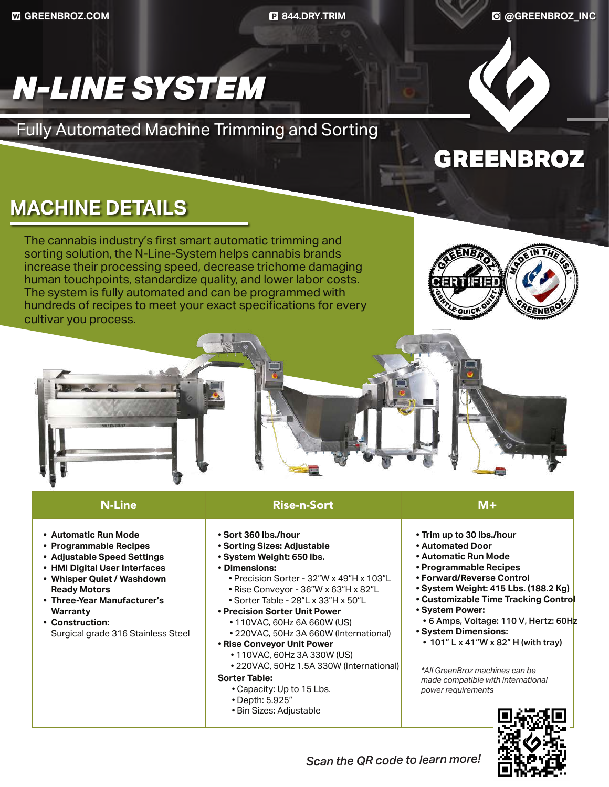**GREENBROZ.COM 844.DRY.TRIM @GREENBROZ\_INC**

# *N-LINE SYSTEM*

Fully Automated Machine Trimming and Sorting

### **MACHINE DETAILS**

The cannabis industry's first smart automatic trimming and sorting solution, the N-Line-System helps cannabis brands increase their processing speed, decrease trichome damaging human touchpoints, standardize quality, and lower labor costs. The system is fully automated and can be programmed with hundreds of recipes to meet your exact specifications for every cultivar you process.



**GREENBROZ** 





#### N-Line Rise-n-Sort M+

- **• Automatic Run Mode**
- **• Programmable Recipes**
- **• Adjustable Speed Settings**
- **• HMI Digital User Interfaces**
- **• Whisper Quiet / Washdown Ready Motors**
- **• Three-Year Manufacturer's Warranty**
- **• Construction:**  Surgical grade 316 Stainless Steel
- **Sort 360 lbs./hour**
- **Sorting Sizes: Adjustable**
- **System Weight: 650 lbs.**
- **• Dimensions:**
	- Precision Sorter 32"W x 49"H x 103"L
	- Rise Conveyor 36"W x 63"H x 82"L
	- Sorter Table 28"L x 33"H x 50"L
- **Precision Sorter Unit Power**
	- 110VAC, 60Hz 6A 660W (US)
	- 220VAC, 50Hz 3A 660W (International)
- **Rise Conveyor Unit Power**
	- 110VAC, 60Hz 3A 330W (US)
	- 220VAC, 50Hz 1.5A 330W (International)

#### **Sorter Table:**

- Capacity: Up to 15 Lbs.
- Depth: 5.925"
- Bin Sizes: Adjustable
- **Trim up to 30 lbs./hour**
- **Automated Door**
- **Automatic Run Mode**
- **Programmable Recipes**
- **Forward/Reverse Control**
- **System Weight: 415 Lbs. (188.2 Kg)**
- **Customizable Time Tracking Control**
- **System Power:**
- 6 Amps, Voltage: 110 V, Hertz: 60Hz
- **System Dimensions:** 
	- 101" L x 41"W x 82" H (with tray)

*\*All GreenBroz machines can be made compatible with international power requirements*



*Scan the QR code to learn more!*